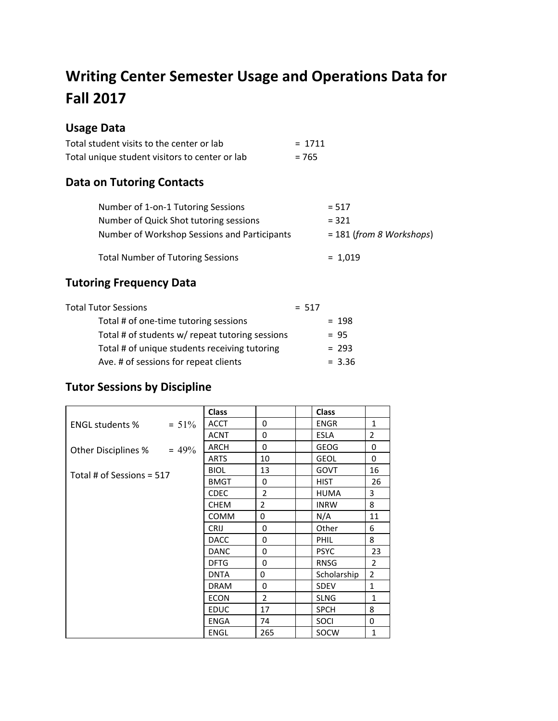# **Writing Center Semester Usage and Operations Data for Fall 2017**

## **Usage Data**

| Total student visits to the center or lab      | $= 1711$ |
|------------------------------------------------|----------|
| Total unique student visitors to center or lab | $= 765$  |

## **Data on Tutoring Contacts**

| Number of 1-on-1 Tutoring Sessions           | $= 517$                    |
|----------------------------------------------|----------------------------|
| Number of Quick Shot tutoring sessions       | $= 321$                    |
| Number of Workshop Sessions and Participants | $= 181$ (from 8 Workshops) |
| <b>Total Number of Tutoring Sessions</b>     | $= 1,019$                  |

## **Tutoring Frequency Data**

| Total Tutor Sessions                            | $= 517$ |          |
|-------------------------------------------------|---------|----------|
| Total # of one-time tutoring sessions           |         | $= 198$  |
| Total # of students w/ repeat tutoring sessions |         | $= 95$   |
| Total # of unique students receiving tutoring   |         | $= 293$  |
| Ave. # of sessions for repeat clients           |         | $= 3.36$ |

## **Tutor Sessions by Discipline**

|                           |          | <b>Class</b> |                | <b>Class</b> |                |
|---------------------------|----------|--------------|----------------|--------------|----------------|
| <b>ENGL students %</b>    | $= 51\%$ | <b>ACCT</b>  | 0              | <b>ENGR</b>  | $\mathbf{1}$   |
|                           |          | <b>ACNT</b>  | $\Omega$       | <b>ESLA</b>  | $\overline{2}$ |
| Other Disciplines %       | $= 49\%$ | <b>ARCH</b>  | $\Omega$       | <b>GEOG</b>  | $\Omega$       |
|                           |          | <b>ARTS</b>  | 10             | <b>GEOL</b>  | 0              |
| Total # of Sessions = 517 |          | <b>BIOL</b>  | 13             | <b>GOVT</b>  | 16             |
|                           |          | <b>BMGT</b>  | 0              | <b>HIST</b>  | 26             |
|                           |          | <b>CDEC</b>  | $\overline{2}$ | <b>HUMA</b>  | 3              |
|                           |          | <b>CHEM</b>  | $\overline{2}$ | <b>INRW</b>  | 8              |
|                           |          | <b>COMM</b>  | $\Omega$       | N/A          | 11             |
|                           |          | <b>CRIJ</b>  | 0              | Other        | 6              |
|                           |          | <b>DACC</b>  | $\Omega$       | PHIL         | 8              |
|                           |          | <b>DANC</b>  | 0              | <b>PSYC</b>  | 23             |
|                           |          | <b>DFTG</b>  | $\Omega$       | <b>RNSG</b>  | $\overline{2}$ |
|                           |          | <b>DNTA</b>  | 0              | Scholarship  | $\overline{2}$ |
|                           |          | <b>DRAM</b>  | $\Omega$       | <b>SDEV</b>  | $\mathbf{1}$   |
|                           |          | <b>ECON</b>  | 2              | <b>SLNG</b>  | $\mathbf{1}$   |
|                           |          | <b>EDUC</b>  | 17             | <b>SPCH</b>  | 8              |
|                           |          | <b>ENGA</b>  | 74             | SOCI         | 0              |
|                           |          | <b>ENGL</b>  | 265            | SOCW         | $\mathbf{1}$   |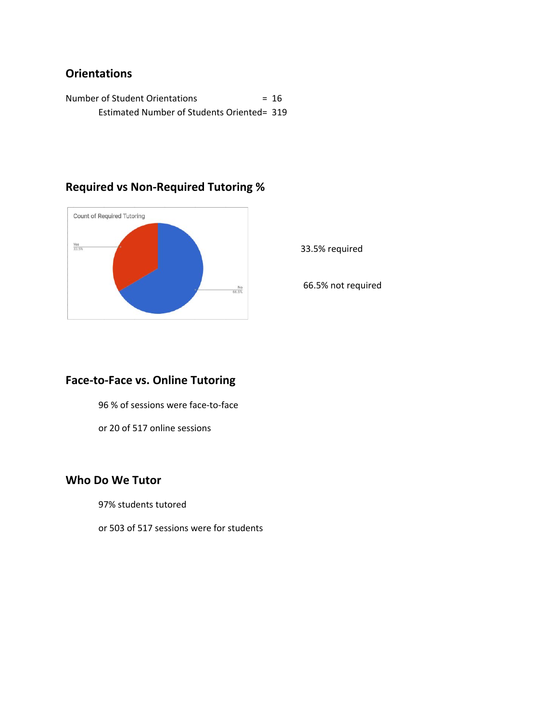### **Orientations**

Number of Student Orientations = 16 Estimated Number of Students Oriented= 319



## **Required vs Non-Required Tutoring %**

33.5% required

66.5% not required

### **Face-to-Face vs. Online Tutoring**

96 % of sessions were face-to-face

or 20 of 517 online sessions

#### **Who Do We Tutor**

97% students tutored

or 503 of 517 sessions were for students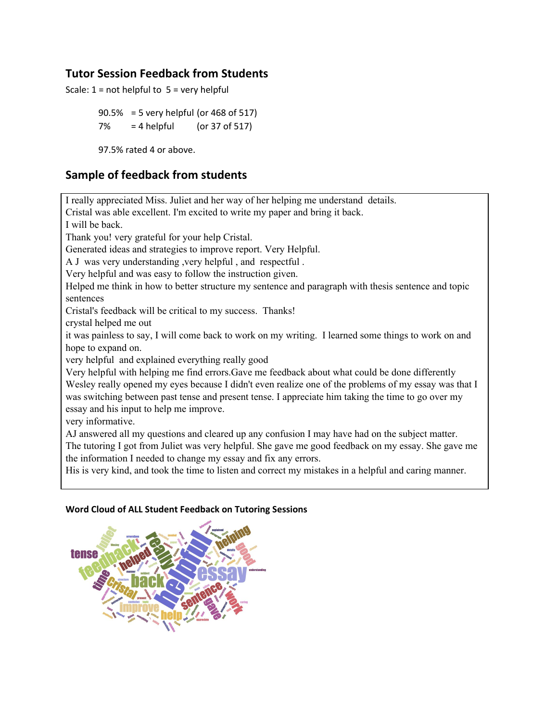### **Tutor Session Feedback from Students**

Scale:  $1 = not helpful to 5 = very helpful$ 

90.5% = 5 very helpful (or 468 of 517) 7% = 4 helpful (or 37 of 517)

97.5% rated 4 or above.

#### **Sample of feedback from students**

I really appreciated Miss. Juliet and her way of her helping me understand details.

Cristal was able excellent. I'm excited to write my paper and bring it back.

I will be back.

Thank you! very grateful for your help Cristal.

Generated ideas and strategies to improve report. Very Helpful.

A J was very understanding ,very helpful , and respectful .

Very helpful and was easy to follow the instruction given.

Helped me think in how to better structure my sentence and paragraph with thesis sentence and topic sentences

Cristal's feedback will be critical to my success. Thanks!

crystal helped me out

it was painless to say, I will come back to work on my writing. I learned some things to work on and hope to expand on.

very helpful and explained everything really good

Very helpful with helping me find errors.Gave me feedback about what could be done differently Wesley really opened my eyes because I didn't even realize one of the problems of my essay was that I was switching between past tense and present tense. I appreciate him taking the time to go over my essay and his input to help me improve.

very informative.

AJ answered all my questions and cleared up any confusion I may have had on the subject matter. The tutoring I got from Juliet was very helpful. She gave me good feedback on my essay. She gave me the information I needed to change my essay and fix any errors.

His is very kind, and took the time to listen and correct my mistakes in a helpful and caring manner.

#### **Word Cloud of ALL Student Feedback on Tutoring Sessions**

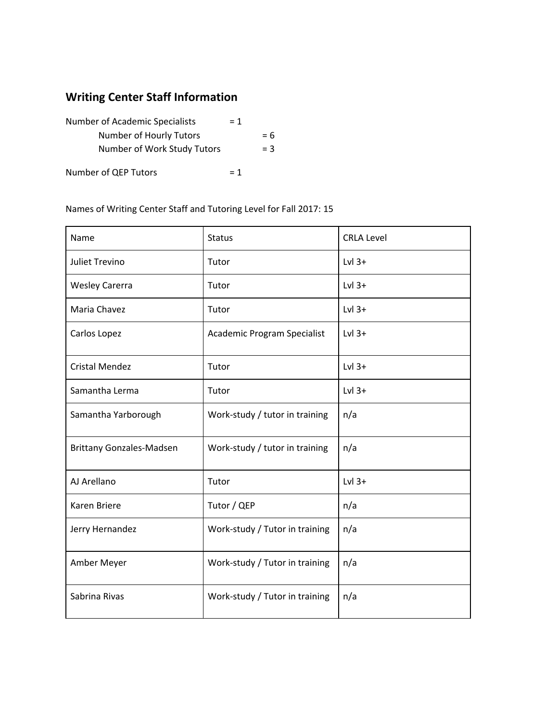## **Writing Center Staff Information**

| <b>Number of Academic Specialists</b> |       |       |
|---------------------------------------|-------|-------|
| Number of Hourly Tutors               |       | $= 6$ |
| Number of Work Study Tutors           |       | $=$ 3 |
| Number of QEP Tutors                  | $= 1$ |       |

#### Names of Writing Center Staff and Tutoring Level for Fall 2017: 15

| Name                            | <b>Status</b>                  | <b>CRLA Level</b> |
|---------------------------------|--------------------------------|-------------------|
| Juliet Trevino                  | Tutor                          | $Lvl$ 3+          |
| <b>Wesley Carerra</b>           | Tutor                          | $Lvl$ 3+          |
| Maria Chavez                    | Tutor                          | $Lvl$ 3+          |
| Carlos Lopez                    | Academic Program Specialist    | $Lvl$ 3+          |
| <b>Cristal Mendez</b>           | Tutor                          | $Lvl$ 3+          |
| Samantha Lerma                  | Tutor                          | $Lvl$ 3+          |
| Samantha Yarborough             | Work-study / tutor in training | n/a               |
| <b>Brittany Gonzales-Madsen</b> | Work-study / tutor in training | n/a               |
| AJ Arellano                     | Tutor                          | $Lvl$ 3+          |
| <b>Karen Briere</b>             | Tutor / QEP                    | n/a               |
| Jerry Hernandez                 | Work-study / Tutor in training | n/a               |
| Amber Meyer                     | Work-study / Tutor in training | n/a               |
| Sabrina Rivas                   | Work-study / Tutor in training | n/a               |